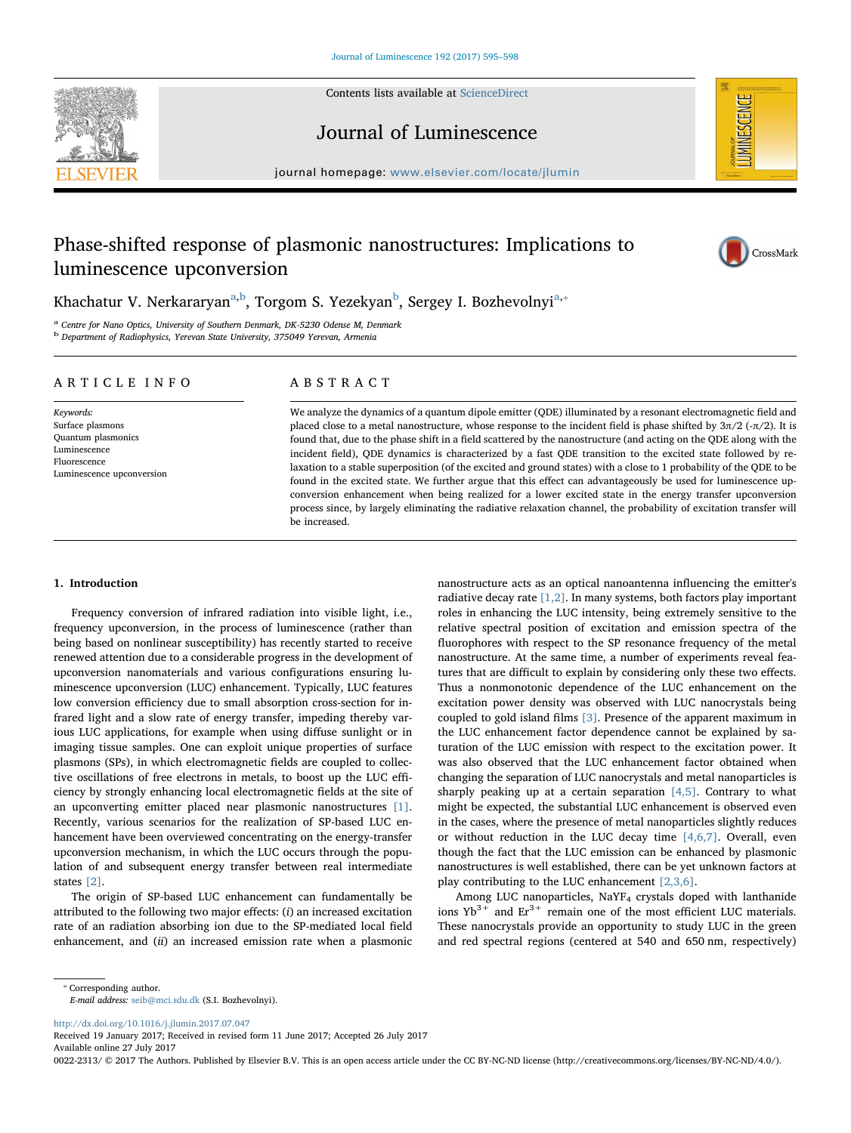Contents lists available at [ScienceDirect](http://www.sciencedirect.com/science/journal/00222313)



Journal of Luminescence

journal homepage: [www.elsevier.com/locate/jlumin](http://www.elsevier.com/locate/jlumin)

# Phase-shifted response of plasmonic nanostructures: Implications to luminescence upconversion



**IMINESCENCE** 

Kh[a](#page-0-0)chatur V. Nerkararyan<sup>a,[b](#page-0-1)</sup>, Torgom S. Yezekyan<sup>b</sup>, Sergey I. Bozhevolnyi<sup>[a,](#page-0-0)</sup>\*

<span id="page-0-0"></span>Centre for Nano Optics, University of Southern Denmark, DK-5230 Odense M, Denmark

<span id="page-0-1"></span>b Department of Radiophysics, Yerevan State University, 375049 Yerevan, Armenia

#### ARTICLE INFO

Keywords: Surface plasmons Quantum plasmonics Luminescence Fluorescence Luminescence upconversion

## ABSTRACT

We analyze the dynamics of a quantum dipole emitter (QDE) illuminated by a resonant electromagnetic field and placed close to a metal nanostructure, whose response to the incident field is phase shifted by  $3\pi/2$  (- $\pi/2$ ). It is found that, due to the phase shift in a field scattered by the nanostructure (and acting on the QDE along with the incident field), QDE dynamics is characterized by a fast QDE transition to the excited state followed by relaxation to a stable superposition (of the excited and ground states) with a close to 1 probability of the QDE to be found in the excited state. We further argue that this effect can advantageously be used for luminescence upconversion enhancement when being realized for a lower excited state in the energy transfer upconversion process since, by largely eliminating the radiative relaxation channel, the probability of excitation transfer will be increased.

## 1. Introduction

Frequency conversion of infrared radiation into visible light, i.e., frequency upconversion, in the process of luminescence (rather than being based on nonlinear susceptibility) has recently started to receive renewed attention due to a considerable progress in the development of upconversion nanomaterials and various configurations ensuring luminescence upconversion (LUC) enhancement. Typically, LUC features low conversion efficiency due to small absorption cross-section for infrared light and a slow rate of energy transfer, impeding thereby various LUC applications, for example when using diffuse sunlight or in imaging tissue samples. One can exploit unique properties of surface plasmons (SPs), in which electromagnetic fields are coupled to collective oscillations of free electrons in metals, to boost up the LUC efficiency by strongly enhancing local electromagnetic fields at the site of an upconverting emitter placed near plasmonic nanostructures [\[1\]](#page-3-0). Recently, various scenarios for the realization of SP-based LUC enhancement have been overviewed concentrating on the energy-transfer upconversion mechanism, in which the LUC occurs through the population of and subsequent energy transfer between real intermediate states [\[2\]](#page-3-1).

The origin of SP-based LUC enhancement can fundamentally be attributed to the following two major effects: (i) an increased excitation rate of an radiation absorbing ion due to the SP-mediated local field enhancement, and (ii) an increased emission rate when a plasmonic nanostructure acts as an optical nanoantenna influencing the emitter's radiative decay rate  $[1,2]$ . In many systems, both factors play important roles in enhancing the LUC intensity, being extremely sensitive to the relative spectral position of excitation and emission spectra of the fluorophores with respect to the SP resonance frequency of the metal nanostructure. At the same time, a number of experiments reveal features that are difficult to explain by considering only these two effects. Thus a nonmonotonic dependence of the LUC enhancement on the excitation power density was observed with LUC nanocrystals being coupled to gold island films [\[3\]](#page-3-2). Presence of the apparent maximum in the LUC enhancement factor dependence cannot be explained by saturation of the LUC emission with respect to the excitation power. It was also observed that the LUC enhancement factor obtained when changing the separation of LUC nanocrystals and metal nanoparticles is sharply peaking up at a certain separation  $[4,5]$ . Contrary to what might be expected, the substantial LUC enhancement is observed even in the cases, where the presence of metal nanoparticles slightly reduces or without reduction in the LUC decay time  $[4,6,7]$ . Overall, even though the fact that the LUC emission can be enhanced by plasmonic nanostructures is well established, there can be yet unknown factors at play contributing to the LUC enhancement [\[2,3,6\]](#page-3-1).

Among LUC nanoparticles, NaYF4 crystals doped with lanthanide ions  $Yb^{3+}$  and  $Er^{3+}$  remain one of the most efficient LUC materials. These nanocrystals provide an opportunity to study LUC in the green and red spectral regions (centered at 540 and 650 nm, respectively)

<span id="page-0-2"></span>⁎ Corresponding author.

E-mail address: [seib@mci.sdu.dk](mailto:seib@mci.sdu.dk) (S.I. Bozhevolnyi).

<http://dx.doi.org/10.1016/j.jlumin.2017.07.047>

Received 19 January 2017; Received in revised form 11 June 2017; Accepted 26 July 2017

Available online 27 July 2017

0022-2313/ © 2017 The Authors. Published by Elsevier B.V. This is an open access article under the CC BY-NC-ND license (http://creativecommons.org/licenses/BY-NC-ND/4.0/).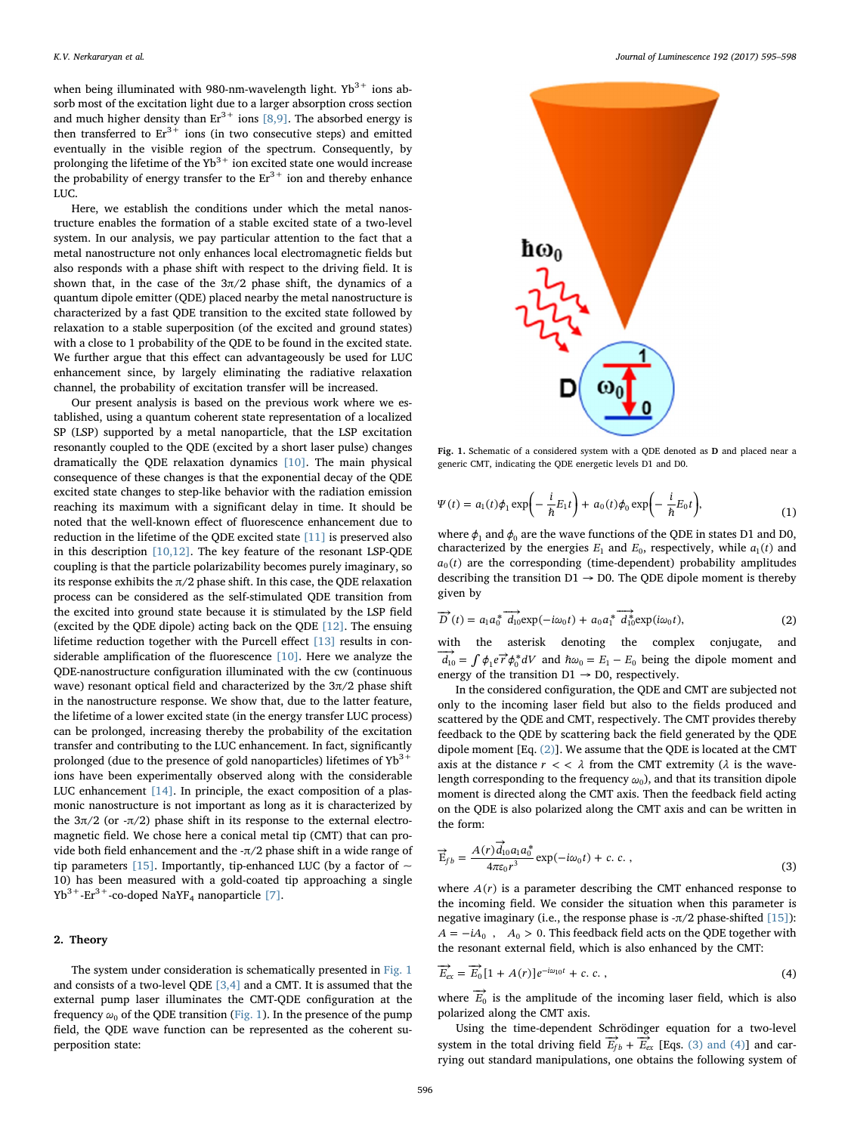when being illuminated with 980-nm-wavelength light.  $Yb^{3+}$  ions absorb most of the excitation light due to a larger absorption cross section and much higher density than  $Er^{3+}$  ions [\[8,9\].](#page-3-4) The absorbed energy is then transferred to  $Er^{3+}$  ions (in two consecutive steps) and emitted eventually in the visible region of the spectrum. Consequently, by prolonging the lifetime of the  $Yb^{3+}$  ion excited state one would increase the probability of energy transfer to the  $Er^{3+}$  ion and thereby enhance LUC.

Here, we establish the conditions under which the metal nanostructure enables the formation of a stable excited state of a two-level system. In our analysis, we pay particular attention to the fact that a metal nanostructure not only enhances local electromagnetic fields but also responds with a phase shift with respect to the driving field. It is shown that, in the case of the  $3\pi/2$  phase shift, the dynamics of a quantum dipole emitter (QDE) placed nearby the metal nanostructure is characterized by a fast QDE transition to the excited state followed by relaxation to a stable superposition (of the excited and ground states) with a close to 1 probability of the QDE to be found in the excited state. We further argue that this effect can advantageously be used for LUC enhancement since, by largely eliminating the radiative relaxation channel, the probability of excitation transfer will be increased.

Our present analysis is based on the previous work where we established, using a quantum coherent state representation of a localized SP (LSP) supported by a metal nanoparticle, that the LSP excitation resonantly coupled to the QDE (excited by a short laser pulse) changes dramatically the QDE relaxation dynamics [\[10\]](#page-3-5). The main physical consequence of these changes is that the exponential decay of the QDE excited state changes to step-like behavior with the radiation emission reaching its maximum with a significant delay in time. It should be noted that the well-known effect of fluorescence enhancement due to reduction in the lifetime of the QDE excited state [\[11\]](#page-3-6) is preserved also in this description [\[10,12\]](#page-3-5). The key feature of the resonant LSP-QDE coupling is that the particle polarizability becomes purely imaginary, so its response exhibits the  $\pi/2$  phase shift. In this case, the ODE relaxation process can be considered as the self-stimulated QDE transition from the excited into ground state because it is stimulated by the LSP field (excited by the QDE dipole) acting back on the QDE [\[12\]](#page-3-7). The ensuing lifetime reduction together with the Purcell effect [\[13\]](#page-3-8) results in considerable amplification of the fluorescence [\[10\]](#page-3-5). Here we analyze the QDE-nanostructure configuration illuminated with the cw (continuous wave) resonant optical field and characterized by the  $3\pi/2$  phase shift in the nanostructure response. We show that, due to the latter feature, the lifetime of a lower excited state (in the energy transfer LUC process) can be prolonged, increasing thereby the probability of the excitation transfer and contributing to the LUC enhancement. In fact, significantly prolonged (due to the presence of gold nanoparticles) lifetimes of  $Yb^{3+}$ ions have been experimentally observed along with the considerable LUC enhancement [\[14\]](#page-3-9). In principle, the exact composition of a plasmonic nanostructure is not important as long as it is characterized by the  $3π/2$  (or  $-π/2$ ) phase shift in its response to the external electromagnetic field. We chose here a conical metal tip (CMT) that can provide both field enhancement and the -π/2 phase shift in a wide range of tip parameters [\[15\]](#page-3-10). Importantly, tip-enhanced LUC (by a factor of  $\sim$ 10) has been measured with a gold-coated tip approaching a single  $Yb^{3+}$ -Er<sup>3+</sup>-co-doped NaYF<sub>4</sub> nanoparticle [\[7\].](#page-3-11)

## 2. Theory

The system under consideration is schematically presented in [Fig. 1](#page-1-0) and consists of a two-level QDE [\[3,4\]](#page-3-2) and a CMT. It is assumed that the external pump laser illuminates the CMT-QDE configuration at the frequency  $\omega_0$  of the QDE transition [\(Fig. 1\)](#page-1-0). In the presence of the pump field, the QDE wave function can be represented as the coherent superposition state:

<span id="page-1-0"></span>

Fig. 1. Schematic of a considered system with a QDE denoted as D and placed near a generic CMT, indicating the QDE energetic levels D1 and D0.

$$
\Psi(t) = a_1(t)\phi_1 \exp\left(-\frac{i}{\hbar}E_1t\right) + a_0(t)\phi_0 \exp\left(-\frac{i}{\hbar}E_0t\right),\tag{1}
$$

where  $\phi_1$  and  $\phi_0$  are the wave functions of the QDE in states D1 and D0, characterized by the energies  $E_1$  and  $E_0$ , respectively, while  $a_1(t)$  and  $a_0(t)$  are the corresponding (time-dependent) probability amplitudes describing the transition  $D1 \rightarrow D0$ . The QDE dipole moment is thereby given by

<span id="page-1-1"></span>
$$
\overrightarrow{D}(t) = a_1 a_0^* \overrightarrow{d_1}_0 \exp(-i\omega_0 t) + a_0 a_1^* \overrightarrow{d_1}_0 \exp(i\omega_0 t), \qquad (2)
$$

with the asterisk denoting the complex conjugate, and  $\overrightarrow{d_{10}} = \int \phi_1 e \overrightarrow{r} \phi_0^* dV$  and  $\hbar \omega_0 = E_1 - E_0$  being the dipole moment and energy of the transition  $D1 \rightarrow D0$ , respectively.

In the considered configuration, the QDE and CMT are subjected not only to the incoming laser field but also to the fields produced and scattered by the QDE and CMT, respectively. The CMT provides thereby feedback to the QDE by scattering back the field generated by the QDE dipole moment [Eq. [\(2\)\]](#page-1-1). We assume that the QDE is located at the CMT axis at the distance  $r \lt \lt \lambda$  from the CMT extremity ( $\lambda$  is the wavelength corresponding to the frequency *ω*0), and that its transition dipole moment is directed along the CMT axis. Then the feedback field acting on the QDE is also polarized along the CMT axis and can be written in the form:

<span id="page-1-2"></span>
$$
\vec{E}_{fb} = \frac{A(r)\vec{d}_{10}a_1a_0^*}{4\pi\epsilon_0r^3} \exp(-i\omega_0t) + c.c.,
$$
\n(3)

where  $A(r)$  is a parameter describing the CMT enhanced response to the incoming field. We consider the situation when this parameter is negative imaginary (i.e., the response phase is  $-\pi/2$  phase-shifted [\[15\]](#page-3-10)):  $A = -iA_0$ ,  $A_0 > 0$ . This feedback field acts on the QDE together with the resonant external field, which is also enhanced by the CMT:

$$
\overrightarrow{E}_{ex} = \overrightarrow{E}_0 \left[ 1 + A(r) \right] e^{-i\omega_{10}t} + c. c. \qquad (4)
$$

where  $\overrightarrow{E}_0$  is the amplitude of the incoming laser field, which is also polarized along the CMT axis.

Using the time-dependent Schrödinger equation for a two-level system in the total driving field  $\overrightarrow{E}_{fb} + \overrightarrow{E}_{ex}$  [Eqs. [\(3\) and \(4\)\]](#page-1-2) and carrying out standard manipulations, one obtains the following system of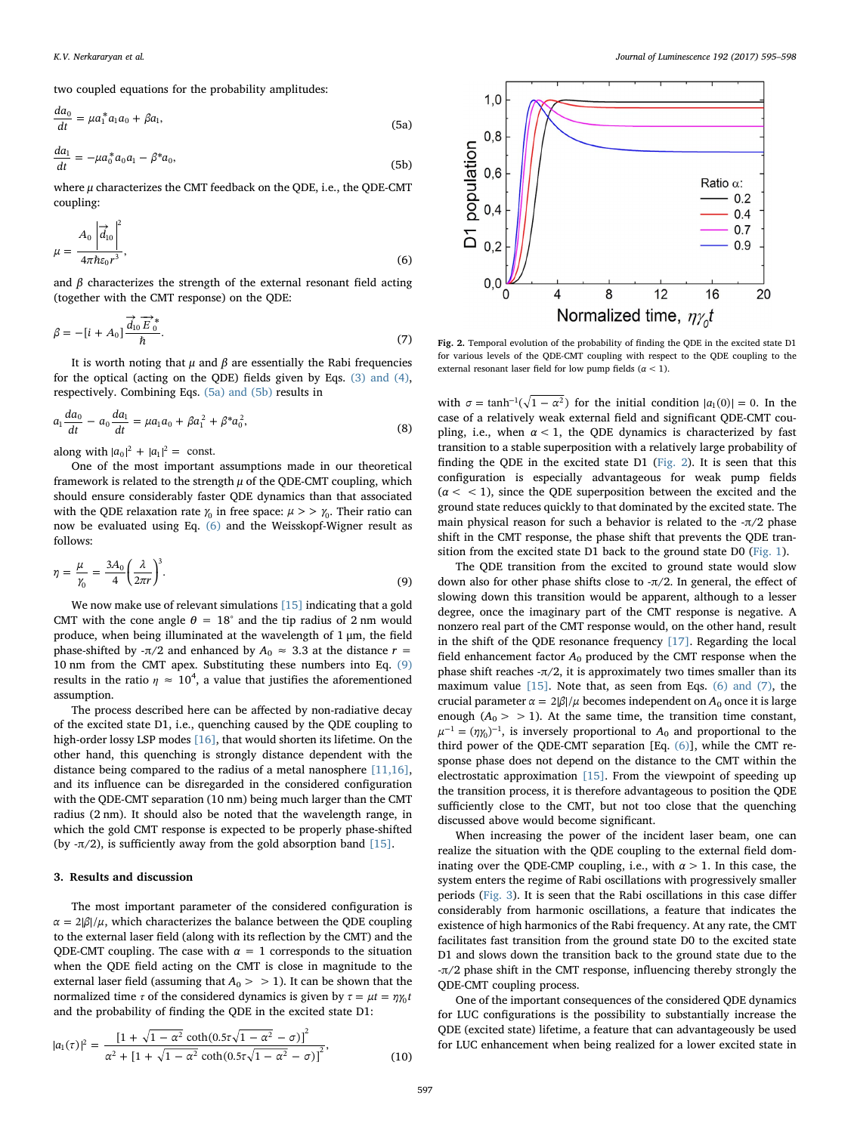<span id="page-2-0"></span>two coupled equations for the probability amplitudes:

$$
\frac{da_0}{dt} = \mu a_1^* a_1 a_0 + \beta a_1,\tag{5a}
$$

$$
\frac{da_1}{dt} = -\mu a_0^* a_0 a_1 - \beta^* a_0,\tag{5b}
$$

<span id="page-2-1"></span>where  $\mu$  characterizes the CMT feedback on the QDE, i.e., the QDE-CMT coupling:

$$
\mu = \frac{A_0 \left| \overrightarrow{d}_{10} \right|^2}{4\pi \hbar \varepsilon_0 r^3},\tag{6}
$$

and  $\beta$  characterizes the strength of the external resonant field acting (together with the CMT response) on the QDE:

$$
\beta = -[i + A_0] \frac{\overrightarrow{d}_{10} \overrightarrow{E}_0^*}{\hbar}.
$$
\n(7)

It is worth noting that  $\mu$  and  $\beta$  are essentially the Rabi frequencies for the optical (acting on the QDE) fields given by Eqs. [\(3\) and \(4\)](#page-1-2), respectively. Combining Eqs. [\(5a\) and \(5b\)](#page-2-0) results in

$$
a_1 \frac{da_0}{dt} - a_0 \frac{da_1}{dt} = \mu a_1 a_0 + \beta a_1^2 + \beta^* a_0^2,
$$
\n(8)

along with  $|a_0|^2 + |a_1|^2 = \text{const.}$ 

One of the most important assumptions made in our theoretical framework is related to the strength  $\mu$  of the QDE-CMT coupling, which should ensure considerably faster QDE dynamics than that associated with the QDE relaxation rate  $\gamma_0$  in free space:  $\mu > \gamma_0$ . Their ratio can now be evaluated using Eq. [\(6\)](#page-2-1) and the Weisskopf-Wigner result as follows:

<span id="page-2-2"></span>
$$
\eta = \frac{\mu}{\gamma_0} = \frac{3A_0}{4} \left(\frac{\lambda}{2\pi r}\right)^3.
$$
\n(9)

We now make use of relevant simulations [\[15\]](#page-3-10) indicating that a gold CMT with the cone angle  $\theta = 18^{\circ}$  and the tip radius of 2 nm would produce, when being illuminated at the wavelength of 1 μm, the field phase-shifted by - $\pi/2$  and enhanced by  $A_0 \approx 3.3$  at the distance  $r =$ 10 nm from the CMT apex. Substituting these numbers into Eq. [\(9\)](#page-2-2) results in the ratio  $\eta \approx 10^4$ , a value that justifies the aforementioned assumption.

The process described here can be affected by non-radiative decay of the excited state D1, i.e., quenching caused by the QDE coupling to high-order lossy LSP modes [\[16\]](#page-3-12), that would shorten its lifetime. On the other hand, this quenching is strongly distance dependent with the distance being compared to the radius of a metal nanosphere [\[11,16\]](#page-3-6), and its influence can be disregarded in the considered configuration with the QDE-CMT separation (10 nm) being much larger than the CMT radius (2 nm). It should also be noted that the wavelength range, in which the gold CMT response is expected to be properly phase-shifted (by  $-\pi/2$ ), is sufficiently away from the gold absorption band [\[15\]](#page-3-10).

#### 3. Results and discussion

The most important parameter of the considered configuration is  $\alpha = 2|\beta|/\mu$ , which characterizes the balance between the QDE coupling to the external laser field (along with its reflection by the CMT) and the QDE-CMT coupling. The case with  $\alpha = 1$  corresponds to the situation when the QDE field acting on the CMT is close in magnitude to the external laser field (assuming that  $A_0 > 1$ ). It can be shown that the normalized time  $\tau$  of the considered dynamics is given by  $\tau = \mu t = \eta \gamma_0 t$ and the probability of finding the QDE in the excited state D1:

$$
|a_1(\tau)|^2 = \frac{\left[1 + \sqrt{1 - \alpha^2} \coth(0.5\tau\sqrt{1 - \alpha^2} - \sigma)\right]^2}{\alpha^2 + \left[1 + \sqrt{1 - \alpha^2} \coth(0.5\tau\sqrt{1 - \alpha^2} - \sigma)\right]^2},\tag{10}
$$

<span id="page-2-3"></span>

Fig. 2. Temporal evolution of the probability of finding the QDE in the excited state D1 for various levels of the QDE-CMT coupling with respect to the QDE coupling to the external resonant laser field for low pump fields ( $\alpha$  < 1).

with  $\sigma = \tanh^{-1}(\sqrt{1 - \alpha^2})$  for the initial condition  $|a_1(0)| = 0$ . In the case of a relatively weak external field and significant QDE-CMT coupling, i.e., when  $\alpha$  < 1, the QDE dynamics is characterized by fast transition to a stable superposition with a relatively large probability of finding the QDE in the excited state D1 [\(Fig. 2](#page-2-3)). It is seen that this configuration is especially advantageous for weak pump fields  $(\alpha < 1)$ , since the QDE superposition between the excited and the ground state reduces quickly to that dominated by the excited state. The main physical reason for such a behavior is related to the  $-\pi/2$  phase shift in the CMT response, the phase shift that prevents the QDE transition from the excited state D1 back to the ground state D0 [\(Fig. 1\)](#page-1-0).

The QDE transition from the excited to ground state would slow down also for other phase shifts close to -π/2. In general, the effect of slowing down this transition would be apparent, although to a lesser degree, once the imaginary part of the CMT response is negative. A nonzero real part of the CMT response would, on the other hand, result in the shift of the QDE resonance frequency [\[17\].](#page-3-13) Regarding the local field enhancement factor  $A_0$  produced by the CMT response when the phase shift reaches  $-\pi/2$ , it is approximately two times smaller than its maximum value [\[15\]](#page-3-10). Note that, as seen from Eqs. [\(6\) and \(7\),](#page-2-1) the crucial parameter  $\alpha = 2|\beta|/\mu$  becomes independent on  $A_0$  once it is large enough  $(A_0 > 1)$ . At the same time, the transition time constant,  $\mu^{-1} = (\eta \gamma_0)^{-1}$ , is inversely proportional to A<sub>0</sub> and proportional to the third power of the QDE-CMT separation [Eq. [\(6\)\]](#page-2-1), while the CMT response phase does not depend on the distance to the CMT within the electrostatic approximation [\[15\]](#page-3-10). From the viewpoint of speeding up the transition process, it is therefore advantageous to position the QDE sufficiently close to the CMT, but not too close that the quenching discussed above would become significant.

When increasing the power of the incident laser beam, one can realize the situation with the QDE coupling to the external field dominating over the QDE-CMP coupling, i.e., with  $\alpha > 1$ . In this case, the system enters the regime of Rabi oscillations with progressively smaller periods [\(Fig. 3\)](#page-3-14). It is seen that the Rabi oscillations in this case differ considerably from harmonic oscillations, a feature that indicates the existence of high harmonics of the Rabi frequency. At any rate, the CMT facilitates fast transition from the ground state D0 to the excited state D1 and slows down the transition back to the ground state due to the -π/2 phase shift in the CMT response, influencing thereby strongly the QDE-CMT coupling process.

One of the important consequences of the considered QDE dynamics for LUC configurations is the possibility to substantially increase the QDE (excited state) lifetime, a feature that can advantageously be used for LUC enhancement when being realized for a lower excited state in